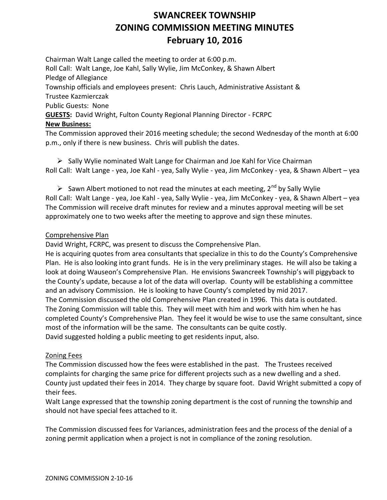# **SWANCREEK TOWNSHIP ZONING COMMISSION MEETING MINUTES February 10, 2016**

Chairman Walt Lange called the meeting to order at 6:00 p.m. Roll Call: Walt Lange, Joe Kahl, Sally Wylie, Jim McConkey, & Shawn Albert Pledge of Allegiance Township officials and employees present: Chris Lauch, Administrative Assistant & Trustee Kazmierczak Public Guests: None **GUESTS:** David Wright, Fulton County Regional Planning Director - FCRPC **New Business:** The Commission approved their 2016 meeting schedule; the second Wednesday of the month at 6:00

p.m., only if there is new business. Chris will publish the dates.

 $\triangleright$  Sally Wylie nominated Walt Lange for Chairman and Joe Kahl for Vice Chairman Roll Call: Walt Lange - yea, Joe Kahl - yea, Sally Wylie - yea, Jim McConkey - yea, & Shawn Albert – yea

Sawn Albert motioned to not read the minutes at each meeting,  $2^{nd}$  by Sally Wylie Roll Call: Walt Lange - yea, Joe Kahl - yea, Sally Wylie - yea, Jim McConkey - yea, & Shawn Albert – yea The Commission will receive draft minutes for review and a minutes approval meeting will be set approximately one to two weeks after the meeting to approve and sign these minutes.

#### Comprehensive Plan

David Wright, FCRPC, was present to discuss the Comprehensive Plan.

He is acquiring quotes from area consultants that specialize in this to do the County's Comprehensive Plan. He is also looking into grant funds. He is in the very preliminary stages. He will also be taking a look at doing Wauseon's Comprehensive Plan. He envisions Swancreek Township's will piggyback to the County's update, because a lot of the data will overlap. County will be establishing a committee and an advisory Commission. He is looking to have County's completed by mid 2017. The Commission discussed the old Comprehensive Plan created in 1996. This data is outdated. The Zoning Commission will table this. They will meet with him and work with him when he has completed County's Comprehensive Plan. They feel it would be wise to use the same consultant, since most of the information will be the same. The consultants can be quite costly. David suggested holding a public meeting to get residents input, also.

# Zoning Fees

The Commission discussed how the fees were established in the past. The Trustees received complaints for charging the same price for different projects such as a new dwelling and a shed. County just updated their fees in 2014. They charge by square foot. David Wright submitted a copy of their fees.

Walt Lange expressed that the township zoning department is the cost of running the township and should not have special fees attached to it.

The Commission discussed fees for Variances, administration fees and the process of the denial of a zoning permit application when a project is not in compliance of the zoning resolution.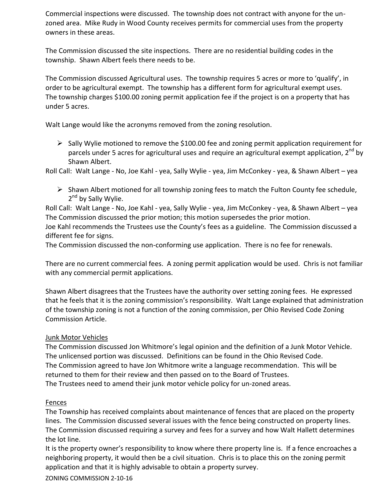Commercial inspections were discussed. The township does not contract with anyone for the unzoned area. Mike Rudy in Wood County receives permits for commercial uses from the property owners in these areas.

The Commission discussed the site inspections. There are no residential building codes in the township. Shawn Albert feels there needs to be.

The Commission discussed Agricultural uses. The township requires 5 acres or more to 'qualify', in order to be agricultural exempt. The township has a different form for agricultural exempt uses. The township charges \$100.00 zoning permit application fee if the project is on a property that has under 5 acres.

Walt Lange would like the acronyms removed from the zoning resolution.

 $\triangleright$  Sally Wylie motioned to remove the \$100.00 fee and zoning permit application requirement for parcels under 5 acres for agricultural uses and require an agricultural exempt application,  $2^{nd}$  by Shawn Albert.

Roll Call: Walt Lange - No, Joe Kahl - yea, Sally Wylie - yea, Jim McConkey - yea, & Shawn Albert – yea

 $\triangleright$  Shawn Albert motioned for all township zoning fees to match the Fulton County fee schedule, 2<sup>nd</sup> by Sally Wylie.

Roll Call: Walt Lange - No, Joe Kahl - yea, Sally Wylie - yea, Jim McConkey - yea, & Shawn Albert – yea The Commission discussed the prior motion; this motion supersedes the prior motion.

Joe Kahl recommends the Trustees use the County's fees as a guideline. The Commission discussed a different fee for signs.

The Commission discussed the non-conforming use application. There is no fee for renewals.

There are no current commercial fees. A zoning permit application would be used. Chris is not familiar with any commercial permit applications.

Shawn Albert disagrees that the Trustees have the authority over setting zoning fees. He expressed that he feels that it is the zoning commission's responsibility. Walt Lange explained that administration of the township zoning is not a function of the zoning commission, per Ohio Revised Code Zoning Commission Article.

# Junk Motor Vehicles

The Commission discussed Jon Whitmore's legal opinion and the definition of a Junk Motor Vehicle. The unlicensed portion was discussed. Definitions can be found in the Ohio Revised Code. The Commission agreed to have Jon Whitmore write a language recommendation. This will be returned to them for their review and then passed on to the Board of Trustees.

The Trustees need to amend their junk motor vehicle policy for un-zoned areas.

# Fences

The Township has received complaints about maintenance of fences that are placed on the property lines. The Commission discussed several issues with the fence being constructed on property lines. The Commission discussed requiring a survey and fees for a survey and how Walt Hallett determines the lot line.

It is the property owner's responsibility to know where there property line is. If a fence encroaches a neighboring property, it would then be a civil situation. Chris is to place this on the zoning permit application and that it is highly advisable to obtain a property survey.